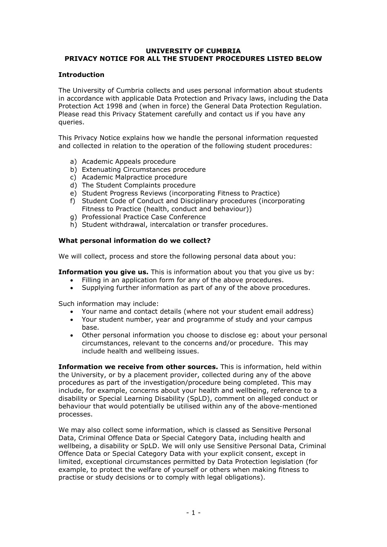# **UNIVERSITY OF CUMBRIA PRIVACY NOTICE FOR ALL THE STUDENT PROCEDURES LISTED BELOW**

### **Introduction**

The University of Cumbria collects and uses personal information about students in accordance with applicable Data Protection and Privacy laws, including the Data Protection Act 1998 and (when in force) the General Data Protection Regulation. Please read this Privacy Statement carefully and contact us if you have any queries.

This Privacy Notice explains how we handle the personal information requested and collected in relation to the operation of the following student procedures:

- a) Academic Appeals procedure
- b) Extenuating Circumstances procedure
- c) Academic Malpractice procedure
- d) The Student Complaints procedure
- e) Student Progress Reviews (incorporating Fitness to Practice)
- f) Student Code of Conduct and Disciplinary procedures (incorporating Fitness to Practice (health, conduct and behaviour))
- g) Professional Practice Case Conference
- h) Student withdrawal, intercalation or transfer procedures.

## **What personal information do we collect?**

We will collect, process and store the following personal data about you:

**Information you give us.** This is information about you that you give us by:

- Filling in an application form for any of the above procedures.
- Supplying further information as part of any of the above procedures.

Such information may include:

- Your name and contact details (where not your student email address)
- Your student number, year and programme of study and your campus base.
- Other personal information you choose to disclose eg: about your personal circumstances, relevant to the concerns and/or procedure. This may include health and wellbeing issues.

**Information we receive from other sources.** This is information, held within the University, or by a placement provider, collected during any of the above procedures as part of the investigation/procedure being completed. This may include, for example, concerns about your health and wellbeing, reference to a disability or Special Learning Disability (SpLD), comment on alleged conduct or behaviour that would potentially be utilised within any of the above-mentioned processes.

We may also collect some information, which is classed as Sensitive Personal Data, Criminal Offence Data or Special Category Data, including health and wellbeing, a disability or SpLD. We will only use Sensitive Personal Data, Criminal Offence Data or Special Category Data with your explicit consent, except in limited, exceptional circumstances permitted by Data Protection legislation (for example, to protect the welfare of yourself or others when making fitness to practise or study decisions or to comply with legal obligations).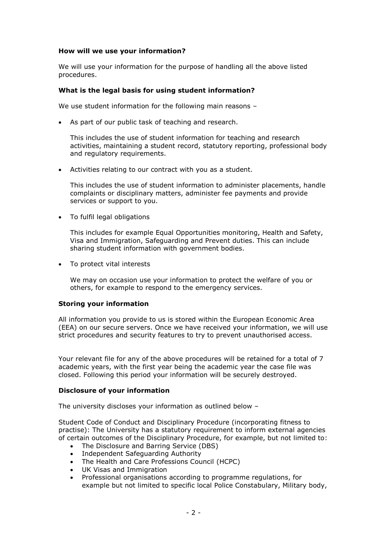## **How will we use your information?**

We will use your information for the purpose of handling all the above listed procedures.

### **What is the legal basis for using student information?**

We use student information for the following main reasons –

As part of our public task of teaching and research.

This includes the use of student information for teaching and research activities, maintaining a student record, statutory reporting, professional body and regulatory requirements.

Activities relating to our contract with you as a student.

This includes the use of student information to administer placements, handle complaints or disciplinary matters, administer fee payments and provide services or support to you.

To fulfil legal obligations

This includes for example Equal Opportunities monitoring, Health and Safety, Visa and Immigration, Safeguarding and Prevent duties. This can include sharing student information with government bodies.

• To protect vital interests

We may on occasion use your information to protect the welfare of you or others, for example to respond to the emergency services.

#### **Storing your information**

All information you provide to us is stored within the European Economic Area (EEA) on our secure servers. Once we have received your information, we will use strict procedures and security features to try to prevent unauthorised access.

Your relevant file for any of the above procedures will be retained for a total of 7 academic years, with the first year being the academic year the case file was closed. Following this period your information will be securely destroyed.

#### **Disclosure of your information**

The university discloses your information as outlined below –

Student Code of Conduct and Disciplinary Procedure (incorporating fitness to practise): The University has a statutory requirement to inform external agencies of certain outcomes of the Disciplinary Procedure, for example, but not limited to:

- The Disclosure and Barring Service (DBS)
- Independent Safeguarding Authority
- The Health and Care Professions Council (HCPC)
- UK Visas and Immigration
- Professional organisations according to programme regulations, for example but not limited to specific local Police Constabulary, Military body,